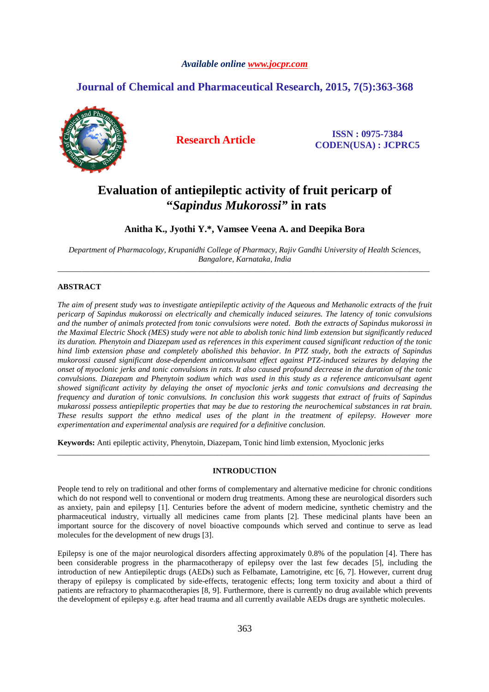#### *Available online www.jocpr.com*

# **Journal of Chemical and Pharmaceutical Research, 2015, 7(5):363-368**



**Research Article ISSN : 0975-7384 CODEN(USA) : JCPRC5**

# **Evaluation of antiepileptic activity of fruit pericarp of "***Sapindus Mukorossi"* **in rats**

# **Anitha K., Jyothi Y.\*, Vamsee Veena A. and Deepika Bora**

*Department of Pharmacology, Krupanidhi College of Pharmacy, Rajiv Gandhi University of Health Sciences, Bangalore, Karnataka, India*  \_\_\_\_\_\_\_\_\_\_\_\_\_\_\_\_\_\_\_\_\_\_\_\_\_\_\_\_\_\_\_\_\_\_\_\_\_\_\_\_\_\_\_\_\_\_\_\_\_\_\_\_\_\_\_\_\_\_\_\_\_\_\_\_\_\_\_\_\_\_\_\_\_\_\_\_\_\_\_\_\_\_\_\_\_\_\_\_\_\_\_\_\_

### **ABSTRACT**

*The aim of present study was to investigate antiepileptic activity of the Aqueous and Methanolic extracts of the fruit pericarp of Sapindus mukorossi on electrically and chemically induced seizures. The latency of tonic convulsions and the number of animals protected from tonic convulsions were noted. Both the extracts of Sapindus mukorossi in the Maximal Electric Shock (MES) study were not able to abolish tonic hind limb extension but significantly reduced its duration. Phenytoin and Diazepam used as references in this experiment caused significant reduction of the tonic hind limb extension phase and completely abolished this behavior. In PTZ study, both the extracts of Sapindus mukorossi caused significant dose-dependent anticonvulsant effect against PTZ-induced seizures by delaying the onset of myoclonic jerks and tonic convulsions in rats. It also caused profound decrease in the duration of the tonic convulsions. Diazepam and Phenytoin sodium which was used in this study as a reference anticonvulsant agent showed significant activity by delaying the onset of myoclonic jerks and tonic convulsions and decreasing the frequency and duration of tonic convulsions. In conclusion this work suggests that extract of fruits of Sapindus mukarossi possess antiepileptic properties that may be due to restoring the neurochemical substances in rat brain. These results support the ethno medical uses of the plant in the treatment of epilepsy. However more experimentation and experimental analysis are required for a definitive conclusion.* 

**Keywords:** Anti epileptic activity, Phenytoin, Diazepam, Tonic hind limb extension, Myoclonic jerks

#### **INTRODUCTION**

\_\_\_\_\_\_\_\_\_\_\_\_\_\_\_\_\_\_\_\_\_\_\_\_\_\_\_\_\_\_\_\_\_\_\_\_\_\_\_\_\_\_\_\_\_\_\_\_\_\_\_\_\_\_\_\_\_\_\_\_\_\_\_\_\_\_\_\_\_\_\_\_\_\_\_\_\_\_\_\_\_\_\_\_\_\_\_\_\_\_\_\_\_

People tend to rely on traditional and other forms of complementary and alternative medicine for chronic conditions which do not respond well to conventional or modern drug treatments. Among these are neurological disorders such as anxiety, pain and epilepsy [1]. Centuries before the advent of modern medicine, synthetic chemistry and the pharmaceutical industry, virtually all medicines came from plants [2]. These medicinal plants have been an important source for the discovery of novel bioactive compounds which served and continue to serve as lead molecules for the development of new drugs [3].

Epilepsy is one of the major neurological disorders affecting approximately 0.8% of the population [4]. There has been considerable progress in the pharmacotherapy of epilepsy over the last few decades [5], including the introduction of new Antiepileptic drugs (AEDs) such as Felbamate, Lamotrigine, etc [6, 7]. However, current drug therapy of epilepsy is complicated by side-effects, teratogenic effects; long term toxicity and about a third of patients are refractory to pharmacotherapies [8, 9]. Furthermore, there is currently no drug available which prevents the development of epilepsy e.g. after head trauma and all currently available AEDs drugs are synthetic molecules.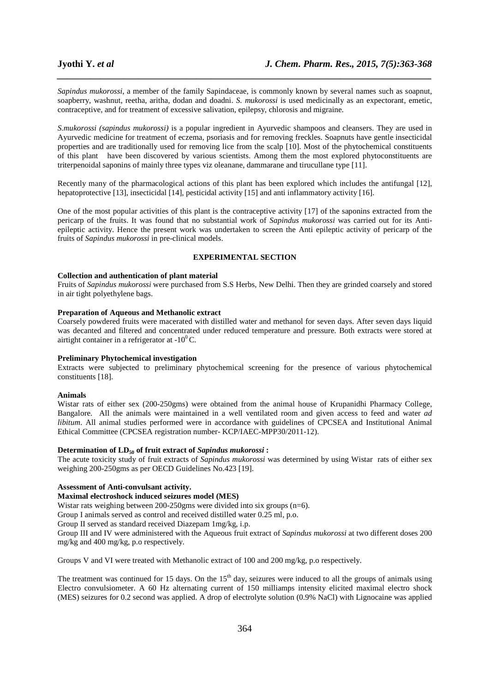*Sapindus mukorossi*, a member of the family Sapindaceae, is commonly known by several names such as soapnut, soapberry, washnut, reetha, aritha, dodan and doadni. *S. mukorossi* is used medicinally as an expectorant, emetic, contraceptive, and for treatment of excessive salivation, epilepsy, chlorosis and migraine.

*\_\_\_\_\_\_\_\_\_\_\_\_\_\_\_\_\_\_\_\_\_\_\_\_\_\_\_\_\_\_\_\_\_\_\_\_\_\_\_\_\_\_\_\_\_\_\_\_\_\_\_\_\_\_\_\_\_\_\_\_\_\_\_\_\_\_\_\_\_\_\_\_\_\_\_\_\_\_*

*S.mukorossi (sapindus mukorossi)* is a popular ingredient in Ayurvedic shampoos and cleansers. They are used in Ayurvedic medicine for treatment of eczema, psoriasis and for removing freckles. Soapnuts have gentle insecticidal properties and are traditionally used for removing lice from the scalp [10]. Most of the phytochemical constituents of this plant have been discovered by various scientists. Among them the most explored phytoconstituents are triterpenoidal saponins of mainly three types viz oleanane, dammarane and tirucullane type [11].

Recently many of the pharmacological actions of this plant has been explored which includes the antifungal [12], hepatoprotective [13], insecticidal [14], pesticidal activity [15] and anti inflammatory activity [16].

One of the most popular activities of this plant is the contraceptive activity [17] of the saponins extracted from the pericarp of the fruits. It was found that no substantial work of *Sapindus mukorossi* was carried out for its Antiepileptic activity. Hence the present work was undertaken to screen the Anti epileptic activity of pericarp of the fruits of *Sapindus mukorossi* in pre-clinical models.

## **EXPERIMENTAL SECTION**

#### **Collection and authentication of plant material**

Fruits of *Sapindus mukorossi* were purchased from S.S Herbs, New Delhi. Then they are grinded coarsely and stored in air tight polyethylene bags.

#### **Preparation of Aqueous and Methanolic extract**

Coarsely powdered fruits were macerated with distilled water and methanol for seven days. After seven days liquid was decanted and filtered and concentrated under reduced temperature and pressure. Both extracts were stored at airtight container in a refrigerator at  $-10^{0}$ C.

#### **Preliminary Phytochemical investigation**

Extracts were subjected to preliminary phytochemical screening for the presence of various phytochemical constituents [18].

#### **Animals**

Wistar rats of either sex (200-250gms) were obtained from the animal house of Krupanidhi Pharmacy College, Bangalore. All the animals were maintained in a well ventilated room and given access to feed and water *ad libitum*. All animal studies performed were in accordance with guidelines of CPCSEA and Institutional Animal Ethical Committee (CPCSEA registration number- KCP/IAEC-MPP30/2011-12).

#### **Determination of LD50 of fruit extract of** *Sapindus mukorossi* **:**

The acute toxicity study of fruit extracts of *Sapindus mukorossi* was determined by using Wistar rats of either sex weighing 200-250gms as per OECD Guidelines No.423 [19].

#### **Assessment of Anti-convulsant activity.**

#### **Maximal electroshock induced seizures model (MES)**

Wistar rats weighing between 200-250gms were divided into six groups (n=6).

Group I animals served as control and received distilled water 0.25 ml, p.o.

Group II served as standard received Diazepam 1mg/kg, i.p.

Group III and IV were administered with the Aqueous fruit extract of *Sapindus mukorossi* at two different doses 200 mg/kg and 400 mg/kg, p.o respectively.

Groups V and VI were treated with Methanolic extract of 100 and 200 mg/kg, p.o respectively.

The treatment was continued for 15 days. On the 15<sup>th</sup> day, seizures were induced to all the groups of animals using Electro convulsiometer. A 60 Hz alternating current of 150 milliamps intensity elicited maximal electro shock (MES) seizures for 0.2 second was applied. A drop of electrolyte solution (0.9% NaCl) with Lignocaine was applied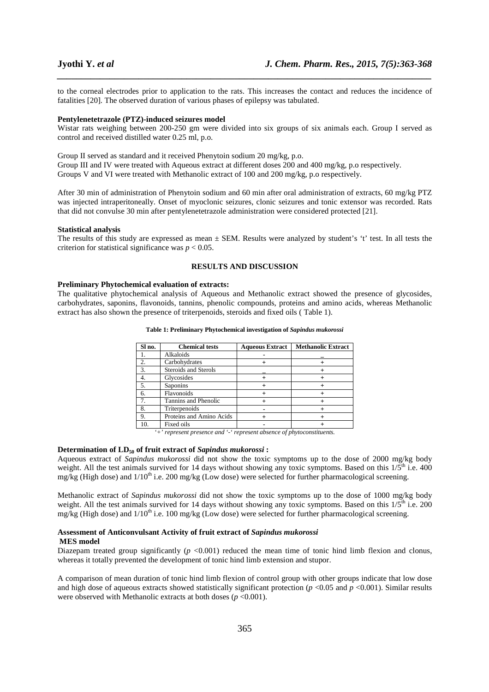to the corneal electrodes prior to application to the rats. This increases the contact and reduces the incidence of fatalities [20]. The observed duration of various phases of epilepsy was tabulated.

*\_\_\_\_\_\_\_\_\_\_\_\_\_\_\_\_\_\_\_\_\_\_\_\_\_\_\_\_\_\_\_\_\_\_\_\_\_\_\_\_\_\_\_\_\_\_\_\_\_\_\_\_\_\_\_\_\_\_\_\_\_\_\_\_\_\_\_\_\_\_\_\_\_\_\_\_\_\_*

#### **Pentylenetetrazole (PTZ)-induced seizures model**

Wistar rats weighing between 200-250 gm were divided into six groups of six animals each. Group I served as control and received distilled water 0.25 ml, p.o.

Group II served as standard and it received Phenytoin sodium 20 mg/kg, p.o. Group III and IV were treated with Aqueous extract at different doses 200 and 400 mg/kg, p.o respectively. Groups V and VI were treated with Methanolic extract of 100 and 200 mg/kg, p.o respectively.

After 30 min of administration of Phenytoin sodium and 60 min after oral administration of extracts, 60 mg/kg PTZ was injected intraperitoneally. Onset of myoclonic seizures, clonic seizures and tonic extensor was recorded. Rats that did not convulse 30 min after pentylenetetrazole administration were considered protected [21].

#### **Statistical analysis**

The results of this study are expressed as mean  $\pm$  SEM. Results were analyzed by student's 't' test. In all tests the criterion for statistical significance was  $p < 0.05$ .

#### **RESULTS AND DISCUSSION**

#### **Preliminary Phytochemical evaluation of extracts:**

The qualitative phytochemical analysis of Aqueous and Methanolic extract showed the presence of glycosides, carbohydrates, saponins, flavonoids, tannins, phenolic compounds, proteins and amino acids, whereas Methanolic extract has also shown the presence of triterpenoids, steroids and fixed oils ( Table 1).

| Sl no. | <b>Chemical tests</b>    | <b>Aqueous Extract</b> | <b>Methanolic Extract</b> |
|--------|--------------------------|------------------------|---------------------------|
|        | Alkaloids                |                        |                           |
| 2.     | Carbohydrates            |                        |                           |
| 3.     | Steroids and Sterols     |                        |                           |
|        | Glycosides               |                        |                           |
| 5.     | Saponins                 |                        |                           |
| 6.     | Flavonoids               |                        |                           |
|        | Tannins and Phenolic     |                        |                           |
| 8.     | Triterpenoids            |                        |                           |
| 9.     | Proteins and Amino Acids |                        |                           |
|        | Fixed oils               |                        |                           |

**Table 1: Preliminary Phytochemical investigation of** *Sapindus mukorossi*

*'+' represent presence and '-' represent absence of phytoconstituents.* 

#### **Determination of LD50 of fruit extract of** *Sapindus mukorossi* **:**

Aqueous extract of *Sapindus mukorossi* did not show the toxic symptoms up to the dose of 2000 mg/kg body weight. All the test animals survived for 14 days without showing any toxic symptoms. Based on this  $1/5<sup>th</sup>$  i.e. 400 mg/kg (High dose) and  $1/10<sup>th</sup>$  i.e. 200 mg/kg (Low dose) were selected for further pharmacological screening.

Methanolic extract of *Sapindus mukorossi* did not show the toxic symptoms up to the dose of 1000 mg/kg body weight. All the test animals survived for 14 days without showing any toxic symptoms. Based on this  $1/5^{\text{th}}$  i.e. 200 mg/kg (High dose) and  $1/10<sup>th</sup>$  i.e. 100 mg/kg (Low dose) were selected for further pharmacological screening.

#### **Assessment of Anticonvulsant Activity of fruit extract of** *Sapindus mukorossi* **MES model**

Diazepam treated group significantly (*p* <0.001) reduced the mean time of tonic hind limb flexion and clonus, whereas it totally prevented the development of tonic hind limb extension and stupor.

A comparison of mean duration of tonic hind limb flexion of control group with other groups indicate that low dose and high dose of aqueous extracts showed statistically significant protection (*p* <0.05 and *p* <0.001). Similar results were observed with Methanolic extracts at both doses ( $p < 0.001$ ).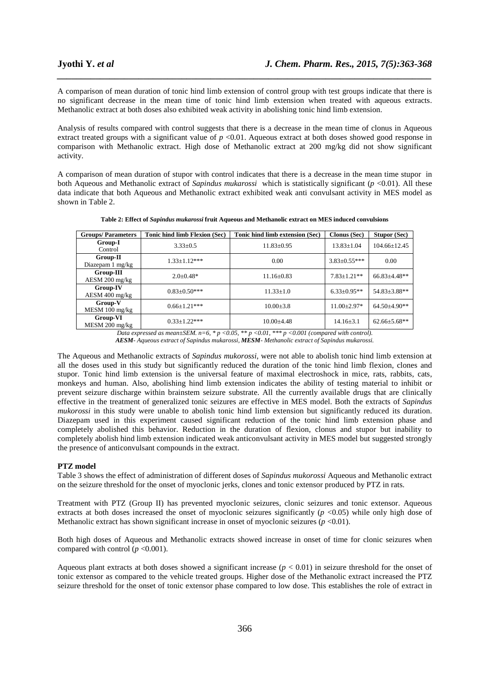A comparison of mean duration of tonic hind limb extension of control group with test groups indicate that there is no significant decrease in the mean time of tonic hind limb extension when treated with aqueous extracts. Methanolic extract at both doses also exhibited weak activity in abolishing tonic hind limb extension.

*\_\_\_\_\_\_\_\_\_\_\_\_\_\_\_\_\_\_\_\_\_\_\_\_\_\_\_\_\_\_\_\_\_\_\_\_\_\_\_\_\_\_\_\_\_\_\_\_\_\_\_\_\_\_\_\_\_\_\_\_\_\_\_\_\_\_\_\_\_\_\_\_\_\_\_\_\_\_*

Analysis of results compared with control suggests that there is a decrease in the mean time of clonus in Aqueous extract treated groups with a significant value of  $p < 0.01$ . Aqueous extract at both doses showed good response in comparison with Methanolic extract. High dose of Methanolic extract at 200 mg/kg did not show significant activity.

A comparison of mean duration of stupor with control indicates that there is a decrease in the mean time stupor in both Aqueous and Methanolic extract of *Sapindus mukarossi* which is statistically significant (*p* <0.01). All these data indicate that both Aqueous and Methanolic extract exhibited weak anti convulsant activity in MES model as shown in Table 2.

| <b>Groups/Parameters</b>            | Tonic hind limb Flexion (Sec) | Tonic hind limb extension (Sec) | <b>Clonus (Sec)</b> | <b>Stupor (Sec)</b> |
|-------------------------------------|-------------------------------|---------------------------------|---------------------|---------------------|
| Group-I<br>Control                  | $3.33 \pm 0.5$                | $11.83 \pm 0.95$                | $13.83 + 1.04$      | $104.66 + 12.45$    |
| Group-II<br>Diazepam 1 mg/kg        | $1.33 \pm 1.12***$            | 0.00                            | $3.83 \pm 0.55***$  | 0.00                |
| Group-III<br>$AESM 200$ mg/kg       | $2.0 + 0.48*$                 | $11.16 \pm 0.83$                | $7.83 + 1.21**$     | $66.83 \pm 4.48**$  |
| <b>Group-IV</b><br>$AESM 400$ mg/kg | $0.83 \pm 0.50$ ***           | $11.33 \pm 1.0$                 | $6.33 \pm 0.95**$   | 54.83±3.88**        |
| Group-V<br>$MESM$ 100 mg/kg         | $0.66 \pm 1.21$ ***           | $10.00 \pm 3.8$                 | $11.00 + 2.97*$     | $64.50 + 4.90**$    |
| Group-VI<br>MESM 200 mg/kg          | $0.33 \pm 1.22$ ***           | $10.00 + 4.48$                  | $14.16 \pm 3.1$     | $62.66 \pm 5.68$ ** |

**Table 2: Effect of** *Sapindus mukarossi* **fruit Aqueous and Methanolic extract on MES induced convulsions** 

*Data expressed as mean±SEM. n=6, \* p <0.05, \*\* p <0.01, \*\*\* p <0.001 (compared with control). AESM- Aqueous extract of Sapindus mukarossi, MESM- Methanolic extract of Sapindus mukarossi.* 

The Aqueous and Methanolic extracts of *Sapindus mukorossi*, were not able to abolish tonic hind limb extension at all the doses used in this study but significantly reduced the duration of the tonic hind limb flexion, clones and stupor. Tonic hind limb extension is the universal feature of maximal electroshock in mice, rats, rabbits, cats, monkeys and human. Also, abolishing hind limb extension indicates the ability of testing material to inhibit or prevent seizure discharge within brainstem seizure substrate. All the currently available drugs that are clinically effective in the treatment of generalized tonic seizures are effective in MES model. Both the extracts of *Sapindus mukorossi* in this study were unable to abolish tonic hind limb extension but significantly reduced its duration. Diazepam used in this experiment caused significant reduction of the tonic hind limb extension phase and completely abolished this behavior. Reduction in the duration of flexion, clonus and stupor but inability to completely abolish hind limb extension indicated weak anticonvulsant activity in MES model but suggested strongly the presence of anticonvulsant compounds in the extract.

#### **PTZ model**

Table 3 shows the effect of administration of different doses of *Sapindus mukorossi* Aqueous and Methanolic extract on the seizure threshold for the onset of myoclonic jerks, clones and tonic extensor produced by PTZ in rats.

Treatment with PTZ (Group II) has prevented myoclonic seizures, clonic seizures and tonic extensor. Aqueous extracts at both doses increased the onset of myoclonic seizures significantly  $(p \lt 0.05)$  while only high dose of Methanolic extract has shown significant increase in onset of myoclonic seizures  $(p \le 0.01)$ .

Both high doses of Aqueous and Methanolic extracts showed increase in onset of time for clonic seizures when compared with control  $(p \le 0.001)$ .

Aqueous plant extracts at both doses showed a significant increase  $(p < 0.01)$  in seizure threshold for the onset of tonic extensor as compared to the vehicle treated groups. Higher dose of the Methanolic extract increased the PTZ seizure threshold for the onset of tonic extensor phase compared to low dose. This establishes the role of extract in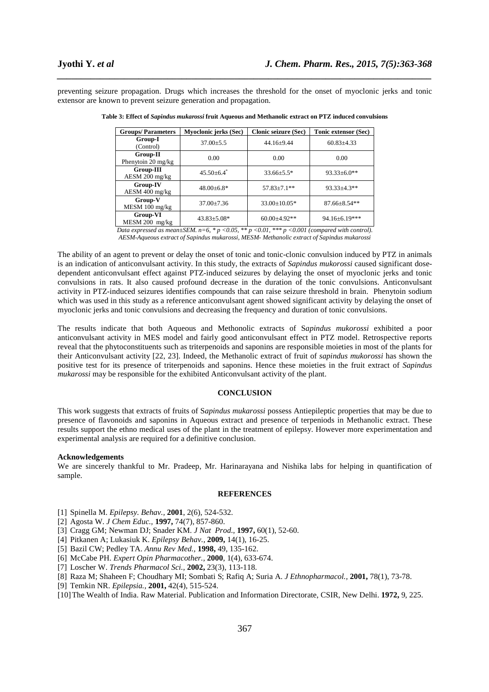preventing seizure propagation. Drugs which increases the threshold for the onset of myoclonic jerks and tonic extensor are known to prevent seizure generation and propagation.

*\_\_\_\_\_\_\_\_\_\_\_\_\_\_\_\_\_\_\_\_\_\_\_\_\_\_\_\_\_\_\_\_\_\_\_\_\_\_\_\_\_\_\_\_\_\_\_\_\_\_\_\_\_\_\_\_\_\_\_\_\_\_\_\_\_\_\_\_\_\_\_\_\_\_\_\_\_\_*

| <b>Groups/Parameters</b>       | <b>Myoclonic jerks (Sec)</b> | Clonic seizure (Sec) | Tonic extensor (Sec) |  |
|--------------------------------|------------------------------|----------------------|----------------------|--|
| Group-I<br>(Control)           | $37.00 + 5.5$                | $44.16 + 9.44$       | $60.83 \pm 4.33$     |  |
| Group-II<br>Phenytoin 20 mg/kg | 0.00                         | 0.00                 | 0.00                 |  |
| Group-III<br>$AESM 200$ mg/kg  | $45.50 + 6.4^*$              | $33.66 \pm 5.5*$     | $93.33 \pm 6.0**$    |  |
| Group-IV<br>AESM 400 mg/kg     | $48.00\pm6.8*$               | $57.83 + 7.1$ **     | $93.33 + 4.3**$      |  |
| Group-V<br>MESM 100 mg/kg      | $37.00 + 7.36$               | $33.00 \pm 10.05*$   | $87.66 \pm 8.54**$   |  |
| Group-VI<br>MESM 200 mg/kg     | $43.83 \pm 5.08*$            | $60.00 + 4.92**$     | 94.16±6.19***        |  |

**Table 3: Effect of** *Sapindus mukarossi* **fruit Aqueous and Methanolic extract on PTZ induced convulsions** 

*Data expressed as mean±SEM. n=6, \* p <0.05, \*\* p <0.01, \*\*\* p <0.001 (compared with control). AESM-Aqueous extract of Sapindus mukarossi, MESM- Methanolic extract of Sapindus mukarossi* 

The ability of an agent to prevent or delay the onset of tonic and tonic-clonic convulsion induced by PTZ in animals is an indication of anticonvulsant activity. In this study, the extracts of *Sapindus mukorossi* caused significant dosedependent anticonvulsant effect against PTZ-induced seizures by delaying the onset of myoclonic jerks and tonic convulsions in rats. It also caused profound decrease in the duration of the tonic convulsions. Anticonvulsant activity in PTZ-induced seizures identifies compounds that can raise seizure threshold in brain. Phenytoin sodium which was used in this study as a reference anticonvulsant agent showed significant activity by delaying the onset of myoclonic jerks and tonic convulsions and decreasing the frequency and duration of tonic convulsions.

The results indicate that both Aqueous and Methonolic extracts of S*apindus mukorossi* exhibited a poor anticonvulsant activity in MES model and fairly good anticonvulsant effect in PTZ model. Retrospective reports reveal that the phytoconstituents such as triterpenoids and saponins are responsible moieties in most of the plants for their Anticonvulsant activity [22, 23]. Indeed, the Methanolic extract of fruit of *sapindus mukorossi* has shown the positive test for its presence of triterpenoids and saponins. Hence these moieties in the fruit extract of *Sapindus mukarossi* may be responsible for the exhibited Anticonvulsant activity of the plant.

#### **CONCLUSION**

This work suggests that extracts of fruits of S*apindus mukarossi* possess Antiepileptic properties that may be due to presence of flavonoids and saponins in Aqueous extract and presence of terpeniods in Methanolic extract. These results support the ethno medical uses of the plant in the treatment of epilepsy. However more experimentation and experimental analysis are required for a definitive conclusion.

#### **Acknowledgements**

We are sincerely thankful to Mr. Pradeep, Mr. Harinarayana and Nishika labs for helping in quantification of sample.

#### **REFERENCES**

- [1] Spinella M. *Epilepsy. Behav.,* **2001**, 2(6), 524-532.
- [2] Agosta W. *J Chem Educ.,* **1997,** 74(7), 857-860.
- [3] Cragg GM; Newman DJ; Snader KM. *J Nat Prod.,* **1997,** 60(1), 52-60.
- [4] Pitkanen A; Lukasiuk K. *Epilepsy Behav.,* **2009,** 14(1), 16-25.
- [5] Bazil CW; Pedley TA. *Annu Rev Med.,* **1998,** 49, 135-162.
- [6] McCabe PH. *Expert Opin Pharmacother.,* **2000**, 1(4), 633-674.
- [7] Loscher W. *Trends Pharmacol Sci.,* **2002,** 23(3), 113-118.
- [8] Raza M; Shaheen F; Choudhary MI; Sombati S; Rafiq A; Suria A. *J Ethnopharmacol.,* **2001,** 78(1), 73-78.
- [9] Temkin NR. *Epilepsia.,* **2001,** 42(4), 515-524.

[10]The Wealth of India. Raw Material. Publication and Information Directorate, CSIR, New Delhi. **1972,** 9, 225.